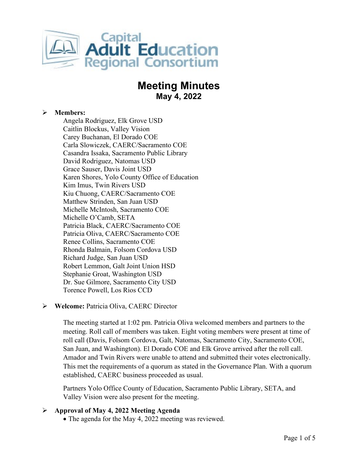

# **Meeting Minutes May 4, 2022**

### **Members:**

Angela Rodriguez, Elk Grove USD Caitlin Blockus, Valley Vision Carey Buchanan, El Dorado COE Carla Slowiczek, CAERC/Sacramento COE Casandra Issaka, Sacramento Public Library David Rodriguez, Natomas USD Grace Sauser, Davis Joint USD Karen Shores, Yolo County Office of Education Kim Imus, Twin Rivers USD Kiu Chuong, CAERC/Sacramento COE Matthew Strinden, San Juan USD Michelle McIntosh, Sacramento COE Michelle O'Camb, SETA Patricia Black, CAERC/Sacramento COE Patricia Oliva, CAERC/Sacramento COE Renee Collins, Sacramento COE Rhonda Balmain, Folsom Cordova USD Richard Judge, San Juan USD Robert Lemmon, Galt Joint Union HSD Stephanie Groat, Washington USD Dr. Sue Gilmore, Sacramento City USD Torence Powell, Los Rios CCD

#### **Welcome:** Patricia Oliva, CAERC Director

The meeting started at 1:02 pm. Patricia Oliva welcomed members and partners to the meeting. Roll call of members was taken. Eight voting members were present at time of roll call (Davis, Folsom Cordova, Galt, Natomas, Sacramento City, Sacramento COE, San Juan, and Washington). El Dorado COE and Elk Grove arrived after the roll call. Amador and Twin Rivers were unable to attend and submitted their votes electronically. This met the requirements of a quorum as stated in the Governance Plan. With a quorum established, CAERC business proceeded as usual.

Partners Yolo Office County of Education, Sacramento Public Library, SETA, and Valley Vision were also present for the meeting.

# **Approval of May 4, 2022 Meeting Agenda**

• The agenda for the May 4, 2022 meeting was reviewed.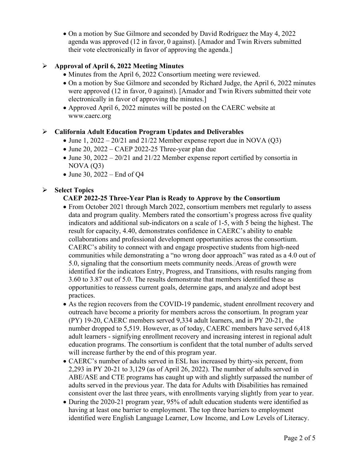• On a motion by Sue Gilmore and seconded by David Rodriguez the May 4, 2022 agenda was approved (12 in favor, 0 against). [Amador and Twin Rivers submitted their vote electronically in favor of approving the agenda.]

# **Approval of April 6, 2022 Meeting Minutes**

- Minutes from the April 6, 2022 Consortium meeting were reviewed.
- On a motion by Sue Gilmore and seconded by Richard Judge, the April 6, 2022 minutes were approved (12 in favor, 0 against). [Amador and Twin Rivers submitted their vote electronically in favor of approving the minutes.]
- Approved April 6, 2022 minutes will be posted on the CAERC website at www.caerc.org

# **California Adult Education Program Updates and Deliverables**

- June 1,  $2022 20/21$  and  $21/22$  Member expense report due in NOVA (Q3)
- June 20, 2022 CAEP 2022-25 Three-year plan due
- June 30, 2022 20/21 and 21/22 Member expense report certified by consortia in  $NOVA (Q3)$
- June 30, 2022 End of Q4

# **Select Topics**

#### **CAEP 2022-25 Three-Year Plan is Ready to Approve by the Consortium**

- From October 2021 through March 2022, consortium members met regularly to assess data and program quality. Members rated the consortium's progress across five quality indicators and additional sub-indicators on a scale of 1-5, with 5 being the highest. The result for capacity, 4.40, demonstrates confidence in CAERC's ability to enable collaborations and professional development opportunities across the consortium. CAERC's ability to connect with and engage prospective students from high-need communities while demonstrating a "no wrong door approach" was rated as a 4.0 out of 5.0, signaling that the consortium meets community needs. Areas of growth were identified for the indicators Entry, Progress, and Transitions, with results ranging from 3.60 to 3.87 out of 5.0. The results demonstrate that members identified these as opportunities to reassess current goals, determine gaps, and analyze and adopt best practices.
- As the region recovers from the COVID-19 pandemic, student enrollment recovery and outreach have become a priority for members across the consortium. In program year (PY) 19-20, CAERC members served 9,334 adult learners, and in PY 20-21, the number dropped to 5,519. However, as of today, CAERC members have served 6,418 adult learners - signifying enrollment recovery and increasing interest in regional adult education programs. The consortium is confident that the total number of adults served will increase further by the end of this program year.
- CAERC's number of adults served in ESL has increased by thirty-six percent, from 2,293 in PY 20-21 to 3,129 (as of April 26, 2022). The number of adults served in ABE/ASE and CTE programs has caught up with and slightly surpassed the number of adults served in the previous year. The data for Adults with Disabilities has remained consistent over the last three years, with enrollments varying slightly from year to year.
- During the 2020-21 program year, 95% of adult education students were identified as having at least one barrier to employment. The top three barriers to employment identified were English Language Learner, Low Income, and Low Levels of Literacy.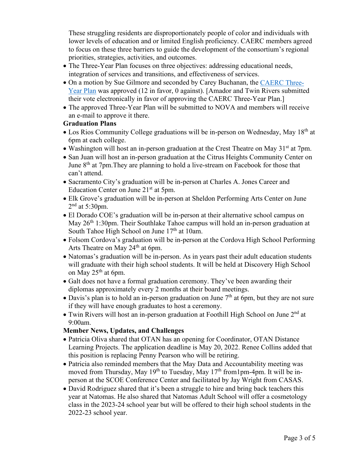These struggling residents are disproportionately people of color and individuals with lower levels of education and or limited English proficiency. CAERC members agreed to focus on these three barriers to guide the development of the consortium's regional priorities, strategies, activities, and outcomes.

- The Three-Year Plan focuses on three objectives: addressing educational needs, integration of services and transitions, and effectiveness of services.
- On a motion by Sue Gilmore and seconded by Carey Buchanan, the [CAERC Three-](https://scoenet.sharepoint.com/:b:/g/Departments/CAERC/EREaCdujbrVJr7J_rMSVL_IB99cVaRZ-gcl90UXkribNig?e=CGatBH)[Year Plan](https://scoenet.sharepoint.com/:b:/g/Departments/CAERC/EREaCdujbrVJr7J_rMSVL_IB99cVaRZ-gcl90UXkribNig?e=CGatBH) was approved (12 in favor, 0 against). [Amador and Twin Rivers submitted their vote electronically in favor of approving the CAERC Three-Year Plan.]
- The approved Three-Year Plan will be submitted to NOVA and members will receive an e-mail to approve it there.

#### **Graduation Plans**

- Los Rios Community College graduations will be in-person on Wednesday, May 18th at 6pm at each college.
- Washington will host an in-person graduation at the Crest Theatre on May  $31<sup>st</sup>$  at 7pm.
- San Juan will host an in-person graduation at the Citrus Heights Community Center on June 8<sup>th</sup> at 7pm. They are planning to hold a live-stream on Facebook for those that can't attend.
- Sacramento City's graduation will be in-person at Charles A. Jones Career and Education Center on June 21<sup>st</sup> at 5pm.
- Elk Grove's graduation will be in-person at Sheldon Performing Arts Center on June  $2<sup>nd</sup>$  at 5:30pm.
- El Dorado COE's graduation will be in-person at their alternative school campus on May 26<sup>th</sup> 1:30pm. Their Southlake Tahoe campus will hold an in-person graduation at South Tahoe High School on June  $17<sup>th</sup>$  at 10am.
- Folsom Cordova's graduation will be in-person at the Cordova High School Performing Arts Theatre on May  $24<sup>th</sup>$  at 6pm.
- Natomas's graduation will be in-person. As in years past their adult education students will graduate with their high school students. It will be held at Discovery High School on May  $25<sup>th</sup>$  at 6pm.
- Galt does not have a formal graduation ceremony. They've been awarding their diplomas approximately every 2 months at their board meetings.
- Davis's plan is to hold an in-person graduation on June  $7<sup>th</sup>$  at 6pm, but they are not sure if they will have enough graduates to host a ceremony.
- Twin Rivers will host an in-person graduation at Foothill High School on June  $2<sup>nd</sup>$  at 9:00am.

# **Member News, Updates, and Challenges**

- Patricia Oliva shared that OTAN has an opening for Coordinator, OTAN Distance Learning Projects. The application deadline is May 20, 2022. Renee Collins added that this position is replacing Penny Pearson who will be retiring.
- Patricia also reminded members that the May Data and Accountability meeting was moved from Thursday, May 19<sup>th</sup> to Tuesday, May  $17<sup>th</sup>$  from 1pm-4pm. It will be inperson at the SCOE Conference Center and facilitated by Jay Wright from CASAS.
- David Rodriguez shared that it's been a struggle to hire and bring back teachers this year at Natomas. He also shared that Natomas Adult School will offer a cosmetology class in the 2023-24 school year but will be offered to their high school students in the 2022-23 school year.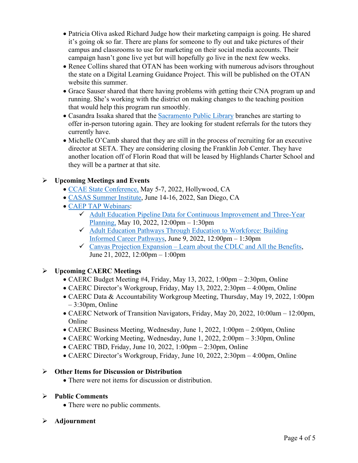- Patricia Oliva asked Richard Judge how their marketing campaign is going. He shared it's going ok so far. There are plans for someone to fly out and take pictures of their campus and classrooms to use for marketing on their social media accounts. Their campaign hasn't gone live yet but will hopefully go live in the next few weeks.
- Renee Collins shared that OTAN has been working with numerous advisors throughout the state on a Digital Learning Guidance Project. This will be published on the OTAN website this summer.
- Grace Sauser shared that there having problems with getting their CNA program up and running. She's working with the district on making changes to the teaching position that would help this program run smoothly.
- Casandra Issaka shared that the [Sacramento Public Library](https://www.saclibrary.org/Education/Adult-Education) branches are starting to offer in-person tutoring again. They are looking for student referrals for the tutors they currently have.
- Michelle O'Camb shared that they are still in the process of recruiting for an executive director at SETA. They are considering closing the Franklin Job Center. They have another location off of Florin Road that will be leased by Highlands Charter School and they will be a partner at that site.

# **Upcoming Meetings and Events**

- [CCAE State Conference,](https://www.ccaestate.org/conference-2022.html) May 5-7, 2022, Hollywood, CA
- [CASAS Summer Institute,](https://www.casas.org/training-and-support/SI/prepare-for-2022) June 14-16, 2022, San Diego, CA
- [CAEP TAP Webinars:](https://caladulted.org/Events)
	- $\checkmark$  Adult Education Pipeline Data for Continuous Improvement and Three-Year [Planning,](https://register.caladulted.org/Home/EventDetail/539) May 10, 2022, 12:00pm – 1:30pm
	- [Adult Education Pathways Through Education to Workforce: Building](https://register.caladulted.org/Home/EventDetail/538)  [Informed Career Pathways,](https://register.caladulted.org/Home/EventDetail/538) June 9, 2022, 12:00pm – 1:30pm
	- $\checkmark$  [Canvas Projection Expansion Learn about the CDLC and All the Benefits,](https://register.caladulted.org/Home/EventDetail/542) June 21, 2022, 12:00pm – 1:00pm

# **Upcoming CAERC Meetings**

- CAERC Budget Meeting #4, Friday, May 13, 2022, 1:00pm 2:30pm, Online
- CAERC Director's Workgroup, Friday, May 13, 2022, 2:30pm 4:00pm, Online
- CAERC Data & Accountability Workgroup Meeting, Thursday, May 19, 2022, 1:00pm – 3:30pm, Online
- CAERC Network of Transition Navigators, Friday, May 20, 2022, 10:00am 12:00pm, Online
- CAERC Business Meeting, Wednesday, June 1, 2022, 1:00pm 2:00pm, Online
- CAERC Working Meeting, Wednesday, June 1, 2022, 2:00pm 3:30pm, Online
- CAERC TBD, Friday, June 10, 2022, 1:00pm 2:30pm, Online
- CAERC Director's Workgroup, Friday, June 10, 2022, 2:30pm 4:00pm, Online

# **Other Items for Discussion or Distribution**

• There were not items for discussion or distribution.

#### **Public Comments**

- There were no public comments.
- **Adjournment**